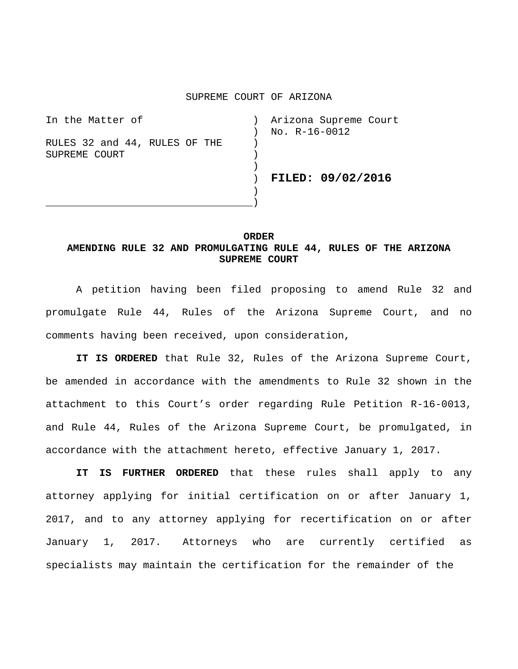## SUPREME COURT OF ARIZONA

| In the Matter of              | Arizona Supreme Court |
|-------------------------------|-----------------------|
|                               | No. R-16-0012         |
| RULES 32 and 44, RULES OF THE |                       |
| SUPREME COURT                 |                       |
|                               |                       |
|                               | FILED: 09/02/2016     |
|                               |                       |
|                               |                       |

## **ORDER AMENDING RULE 32 AND PROMULGATING RULE 44, RULES OF THE ARIZONA SUPREME COURT**

A petition having been filed proposing to amend Rule 32 and promulgate Rule 44, Rules of the Arizona Supreme Court, and no comments having been received, upon consideration,

**IT IS ORDERED** that Rule 32, Rules of the Arizona Supreme Court, be amended in accordance with the amendments to Rule 32 shown in the attachment to this Court's order regarding Rule Petition R-16-0013, and Rule 44, Rules of the Arizona Supreme Court, be promulgated, in accordance with the attachment hereto, effective January 1, 2017.

**IT IS FURTHER ORDERED** that these rules shall apply to any attorney applying for initial certification on or after January 1, 2017, and to any attorney applying for recertification on or after January 1, 2017. Attorneys who are currently certified as specialists may maintain the certification for the remainder of the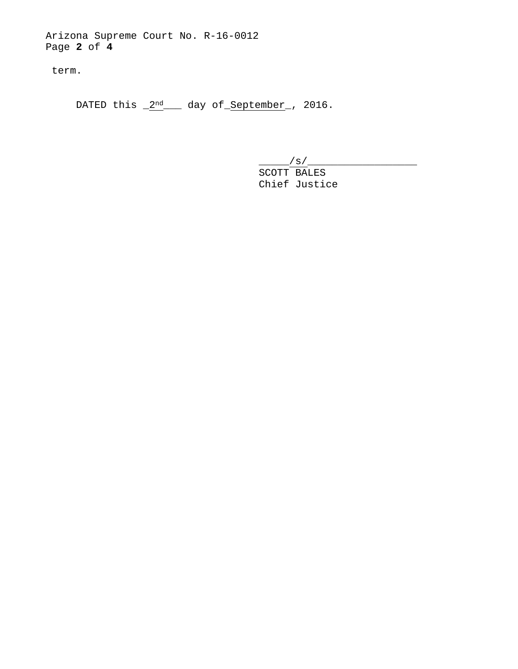Arizona Supreme Court No. R-16-0012 Page **2** of **4**

term.

DATED this  $2<sup>nd</sup>$  day of September , 2016.

\_\_\_\_\_/s/\_\_\_\_\_\_\_\_\_\_\_\_\_\_\_\_\_\_

SCOTT BALES Chief Justice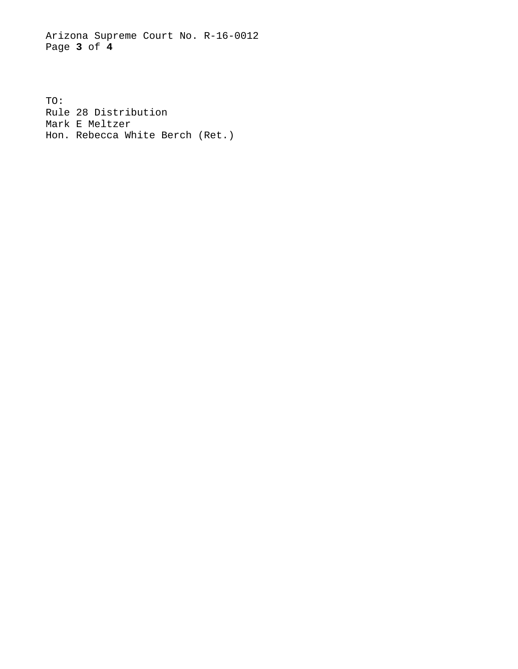Arizona Supreme Court No. R-16-0012 Page **3** of **4**

TO: Rule 28 Distribution Mark E Meltzer Hon. Rebecca White Berch (Ret.)